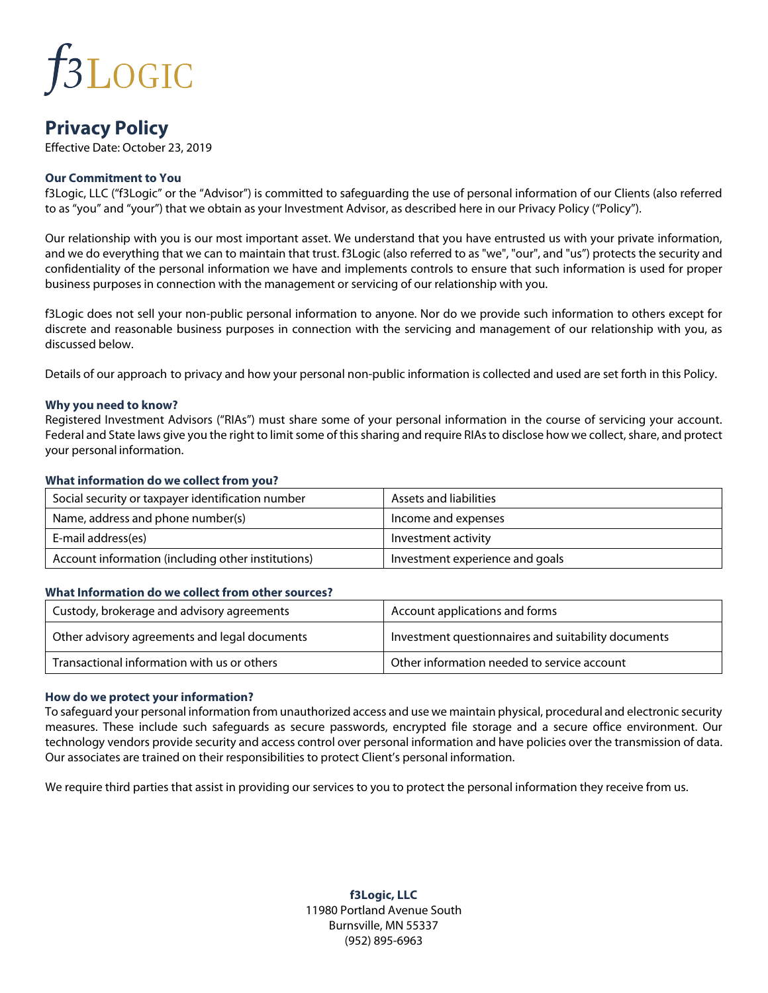## **f3LOGIC**

### **Privacy Policy**

Effective Date: October 23, 2019

### **Our Commitment to You**

f3Logic, LLC ("f3Logic" or the "Advisor") is committed to safeguarding the use of personal information of our Clients (also referred to as "you" and "your") that we obtain as your Investment Advisor, as described here in our Privacy Policy ("Policy").

Our relationship with you is our most important asset. We understand that you have entrusted us with your private information, and we do everything that we can to maintain that trust. f3Logic (also referred to as "we", "our", and "us") protects the security and confidentiality of the personal information we have and implements controls to ensure that such information is used for proper business purposes in connection with the management or servicing of our relationship with you.

f3Logic does not sell your non-public personal information to anyone. Nor do we provide such information to others except for discrete and reasonable business purposes in connection with the servicing and management of our relationship with you, as discussed below.

Details of our approach to privacy and how your personal non-public information is collected and used are set forth in this Policy.

#### **Why you need to know?**

Registered Investment Advisors ("RIAs") must share some of your personal information in the course of servicing your account. Federal and State laws give you the right to limit some of this sharing and require RIAs to disclose how we collect, share, and protect your personal information.

#### **What information do we collect from you?**

| Social security or taxpayer identification number  | Assets and liabilities          |
|----------------------------------------------------|---------------------------------|
| Name, address and phone number(s)                  | Income and expenses             |
| E-mail address(es)                                 | Investment activity             |
| Account information (including other institutions) | Investment experience and goals |

#### **What Information do we collect from other sources?**

| Custody, brokerage and advisory agreements    | Account applications and forms                      |
|-----------------------------------------------|-----------------------------------------------------|
| Other advisory agreements and legal documents | Investment questionnaires and suitability documents |
| Transactional information with us or others   | Other information needed to service account         |

#### **How do we protect your information?**

To safeguard your personal information from unauthorized access and use we maintain physical, procedural and electronic security measures. These include such safeguards as secure passwords, encrypted file storage and a secure office environment. Our technology vendors provide security and access control over personal information and have policies over the transmission of data. Our associates are trained on their responsibilities to protect Client's personal information.

We require third parties that assist in providing our services to you to protect the personal information they receive from us.

**f3Logic, LLC** 11980 Portland Avenue South Burnsville, MN 55337 (952) 895-6963